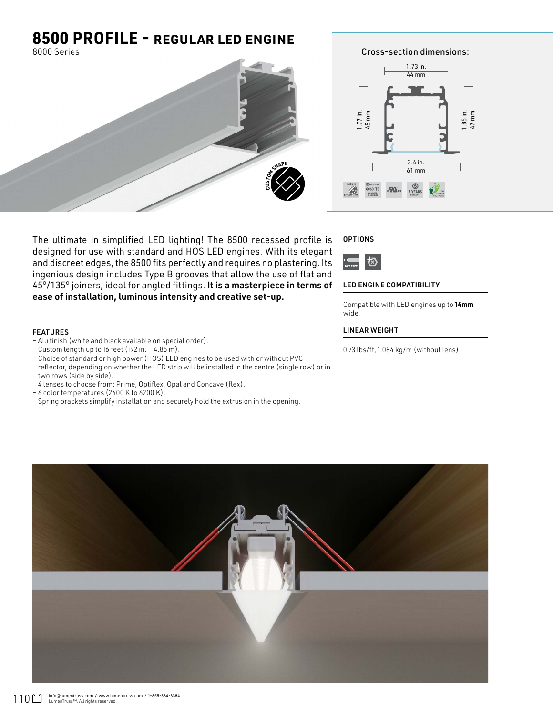## **8500 PROFILE -** REGULAR LED ENGINE

8000 Series



The ultimate in simplified LED lighting! The 8500 recessed profile is designed for use with standard and HOS LED engines. With its elegant and discreet edges, the 8500 fits perfectly and requires no plastering. Its ingenious design includes Type B grooves that allow the use of flat and 45°/135° joiners, ideal for angled fittings. It is a masterpiece in terms of ease of installation, luminous intensity and creative set-up.

### FEATURES

- Alu finish (white and black available on special order).
- Custom length up to 16 feet (192 in. 4.85 m).
- Choice of standard or high power (HOS) LED engines to be used with or without PVC reflector, depending on whether the LED strip will be installed in the centre (single row) or in two rows (side by side).
- 4 lenses to choose from: Prime, Optiflex, Opal and Concave (flex).
- 6 color temperatures (2400 K to 6200 K).
- Spring brackets simplify installation and securely hold the extrusion in the opening.

### **OPTIONS**



#### LED ENGINE COMPATIBILITY

Compatible with LED engines up to **14mm** wide.

### LINEAR WEIGHT

0.73 lbs/ft, 1.084 kg/m (without lens)



Cross-section dimensions:

1.85 in. 47 mm